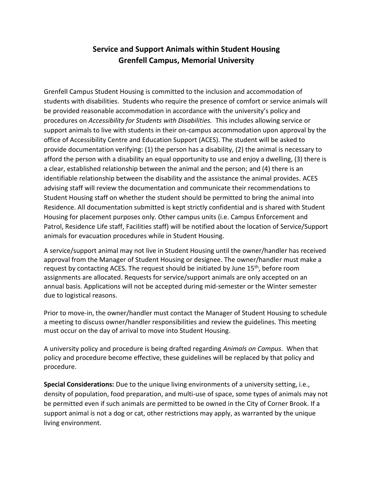## **Service and Support Animals within Student Housing Grenfell Campus, Memorial University**

Grenfell Campus Student Housing is committed to the inclusion and accommodation of students with disabilities. Students who require the presence of comfort or service animals will be provided reasonable accommodation in accordance with the university's policy and procedures on *Accessibility for Students with Disabilities.* This includes allowing service or support animals to live with students in their on-campus accommodation upon approval by the office of Accessibility Centre and Education Support (ACES). The student will be asked to provide documentation verifying: (1) the person has a disability, (2) the animal is necessary to afford the person with a disability an equal opportunity to use and enjoy a dwelling, (3) there is a clear, established relationship between the animal and the person; and (4) there is an identifiable relationship between the disability and the assistance the animal provides. ACES advising staff will review the documentation and communicate their recommendations to Student Housing staff on whether the student should be permitted to bring the animal into Residence. All documentation submitted is kept strictly confidential and is shared with Student Housing for placement purposes only. Other campus units (i.e. Campus Enforcement and Patrol, Residence Life staff, Facilities staff) will be notified about the location of Service/Support animals for evacuation procedures while in Student Housing.

A service/support animal may not live in Student Housing until the owner/handler has received approval from the Manager of Student Housing or designee. The owner/handler must make a request by contacting ACES. The request should be initiated by June 15<sup>th</sup>, before room assignments are allocated. Requests for service/support animals are only accepted on an annual basis. Applications will not be accepted during mid-semester or the Winter semester due to logistical reasons.

Prior to move-in, the owner/handler must contact the Manager of Student Housing to schedule a meeting to discuss owner/handler responsibilities and review the guidelines. This meeting must occur on the day of arrival to move into Student Housing.

A university policy and procedure is being drafted regarding *Animals on Campus*. When that policy and procedure become effective, these guidelines will be replaced by that policy and procedure.

**Special Considerations:** Due to the unique living environments of a university setting, i.e., density of population, food preparation, and multi-use of space, some types of animals may not be permitted even if such animals are permitted to be owned in the City of Corner Brook. If a support animal is not a dog or cat, other restrictions may apply, as warranted by the unique living environment.